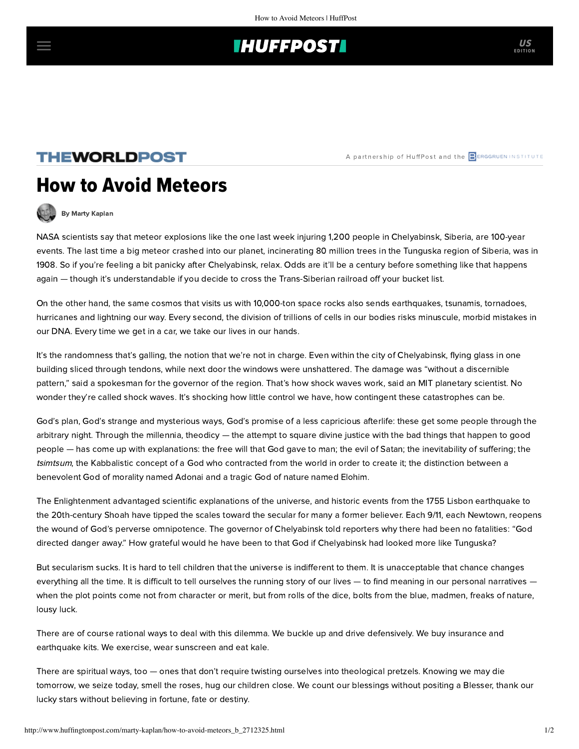## **THUFFPOST**

### **THEWORLDPOST**

# How to Avoid Meteors



[By Marty Kaplan](http://www.huffingtonpost.com/author/marty-kaplan)

NASA scientists [say](http://www.nytimes.com/2013/02/17/world/europe/russians-seek-clues-and-count-blessings-after-meteor-blast.html?pagewanted=2&ref=global-home&_r=0) that meteor explosions like the one last week injuring 1,200 people in Chelyabinsk, Siberia, are 100-year events. The last time a big meteor crashed into our planet, incinerating 80 million trees in the Tunguska region of Siberia, was in 1908. So if you're feeling a bit panicky after Chelyabinsk, relax. Odds are it'll be a century before something like that happens again — though it's understandable if you decide to cross the Trans-Siberian railroad off your bucket list.

On the other hand, the same cosmos that visits us with 10,000-ton space rocks also sends earthquakes, tsunamis, tornadoes, hurricanes and lightning our way. Every second, the division of trillions of cells in our bodies risks minuscule, morbid mistakes in our DNA. Every time we get in a car, we take our lives in our hands.

It's the randomness that's galling, the notion that we're not in charge. Even within the city of Chelyabinsk, flying glass in one building sliced through tendons, while next door the windows were unshattered. The damage was "without a discernible pattern," [said](http://www.nytimes.com/2013/02/18/world/europe/in-russia-property-ruined-and-spared-by-meteor-share-space.html?_r=0) a spokesman for the governor of the region. That's how shock waves work, said an MIT planetary scientist. No wonder they're called shock waves. It's shocking how little control we have, how contingent these catastrophes can be.

God's plan, God's strange and mysterious ways, God's promise of a less capricious afterlife: these get some people through the arbitrary night. Through the millennia, theodicy — the attempt to square divine justice with the bad things that happen to good people — has come up with explanations: the free will that God gave to man; the evil of Satan; the inevitability of suffering; the [tsimtsum](http://www.aish.com/j/as/Life-of-Pi.html), the Kabbalistic concept of a God who contracted from the world in order to create it; the [distinction](http://hmsi.info/2010/08/16/adonai-elohim-2/) between a benevolent God of morality named Adonai and a tragic God of nature named Elohim.

The Enlightenment advantaged scientific explanations of the universe, and historic events from the 1755 Lisbon earthquake to the 20th-century Shoah have tipped the scales toward the secular for many a former believer. Each 9/11, each Newtown, reopens the wound of God's perverse omnipotence. The governor of Chelyabinsk [told reporters](http://www.nytimes.com/2013/02/18/world/europe/in-russia-property-ruined-and-spared-by-meteor-share-space.html?_r=0) why there had been no fatalities: "God directed danger away." How grateful would he have been to that God if Chelyabinsk had looked more like Tunguska?

But secularism sucks. It is hard to tell children that the universe is indifferent to them. It is unacceptable that chance changes everything all the time. It is difficult to tell ourselves the running story of our lives — to find meaning in our personal narratives when the plot points come not from character or merit, but from rolls of the dice, bolts from the blue, madmen, freaks of nature, lousy luck.

There are of course rational ways to deal with this dilemma. We buckle up and drive defensively. We buy insurance and earthquake kits. We exercise, wear sunscreen and eat kale.

There are spiritual ways, too — ones that don't require twisting ourselves into theological pretzels. Knowing we may die tomorrow, we seize today, smell the roses, hug our children close. We count our blessings without positing a Blesser, thank our lucky stars without believing in fortune, fate or destiny.

US

A partnership of HuffPost and the **BERGGRUEN INSTITUTE**